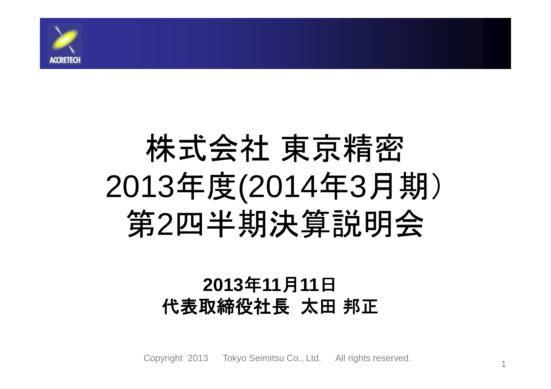

# 株式会社 東京精密<br>13年度/2014年3日: 2013年度(2014年3月期)第2四半期決算説明会

### **2013**年**11**月**11**日\_\_\_\_\_\_\_\_\_ 代表取締役社長 太田 邦正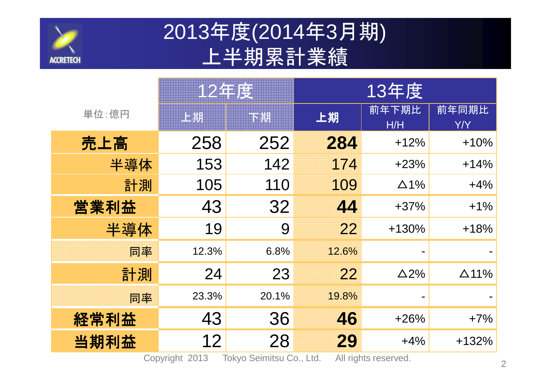

### 2013年度(2014年3月期)上半期累計業績

|                                                                    |       | 12年度  | 13年度  |                |              |  |  |  |  |
|--------------------------------------------------------------------|-------|-------|-------|----------------|--------------|--|--|--|--|
| 単位:億円                                                              | 上期    | 下期    | 上期    | 前年下期比<br>H/H   | 前年同期比<br>Y/Y |  |  |  |  |
| 売上高                                                                | 258   | 252   | 284   | $+12%$         | $+10%$       |  |  |  |  |
| 半導体                                                                | 153   | 142   | 174   | $+23%$         | $+14%$       |  |  |  |  |
| 計測                                                                 | 105   | 110   | 109   | $\Delta$ 1%    | $+4%$        |  |  |  |  |
| 営業利益                                                               | 43    | 32    | 44    | $+37%$         | $+1%$        |  |  |  |  |
| 半導体                                                                | 19    | 9     | 22    | $+130%$        | $+18%$       |  |  |  |  |
| 同率                                                                 | 12.3% | 6.8%  | 12.6% | $\blacksquare$ |              |  |  |  |  |
| 計測                                                                 | 24    | 23    | 22    | $\Delta$ 2%    | $\Delta$ 11% |  |  |  |  |
| 同率                                                                 | 23.3% | 20.1% | 19.8% | ۰              |              |  |  |  |  |
| 経常利益                                                               | 43    | 36    | 46    | $+26%$         | $+7%$        |  |  |  |  |
| 当期利益                                                               | 12    | 28    | 29    | $+4%$          | $+132%$      |  |  |  |  |
| Tokyo Seimitsu Co., Ltd.<br>All rights reserved.<br>Copyright 2013 |       |       |       |                |              |  |  |  |  |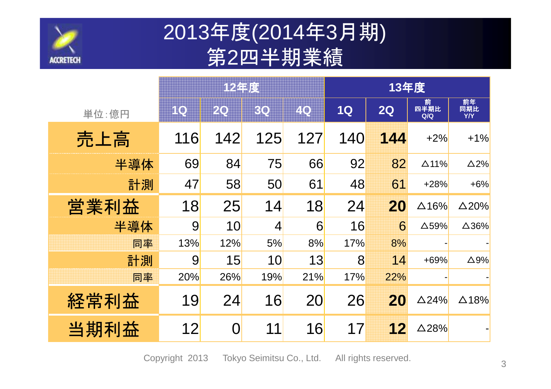

### 2013年度(2014年3月期)第2四半期業績

|       | 12年度 |                |                | 13年度 |     |     |                    |                         |
|-------|------|----------------|----------------|------|-----|-----|--------------------|-------------------------|
| 単位:億円 | HO   | 20             | 30             | ZO   | 1Q  | 2Q  | ——前<br>四半期比<br>Q/Q | 前年<br>同期比<br><b>Y/Y</b> |
| 売上高   | 116  | 142            | 125            | 127  | 140 | 144 | $+2%$              | $+1%$                   |
| 半導体   | 69   | 84             | 75             | 66   | 92  | 82  | $\triangle$ 11%    | $\Delta$ 2%             |
| 計測    | 47   | 58             | 50             | 61   | 48  | 61  | $+28%$             | $+6%$                   |
| 営業利益  | 18   | 25             | 14             | 18   | 24  | 20  | $\Delta$ 16%       | $\Delta$ 20%            |
| 半導体   | 9    | 10             | $\overline{4}$ | 6    | 16  | 6   | $\Delta$ 59%       | $\Delta$ 36%            |
| 同率    | 13%  | 12%            | 5%             | 8%   | 17% | 8%  |                    |                         |
| 計測    | 9    | 15             | 10             | 13   | 8   | 14  | +69%               | $\Delta$ 9%             |
| 同率    | 20%  | 26%            | 19%            | 21%  | 17% | 22% |                    |                         |
| 経常利益  | 19   | 24             | 16             | 20   | 26  | 20  | $\Delta$ 24%       | $\Delta$ 18%            |
| 当期利益  | 12   | $\overline{0}$ | 11             | 16   | 17  | 12  | $\Delta 28\%$      |                         |
|       |      |                |                |      |     |     |                    |                         |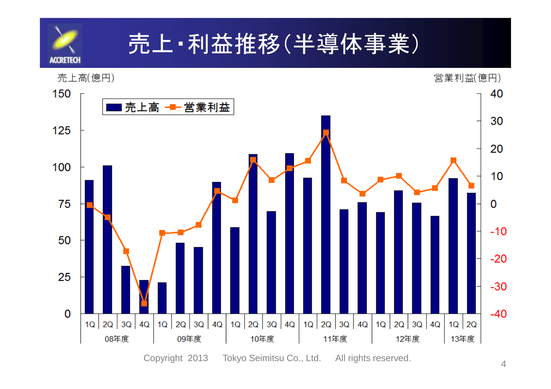

### 売上・利益推移(半導体事業)

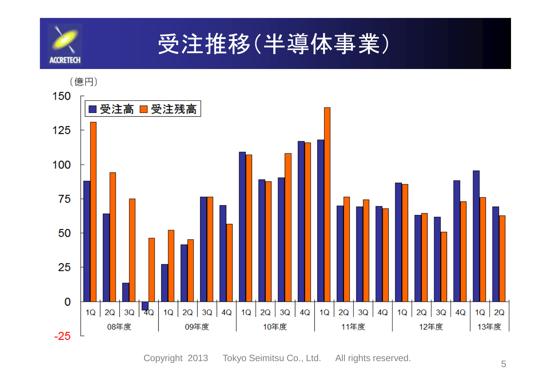

### 受注推移(半導体事業)

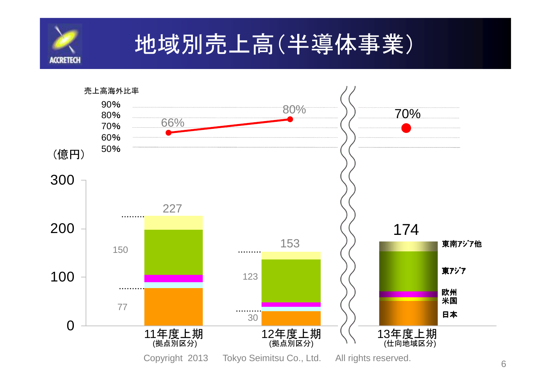

### 地域別売上高(半導体事業)

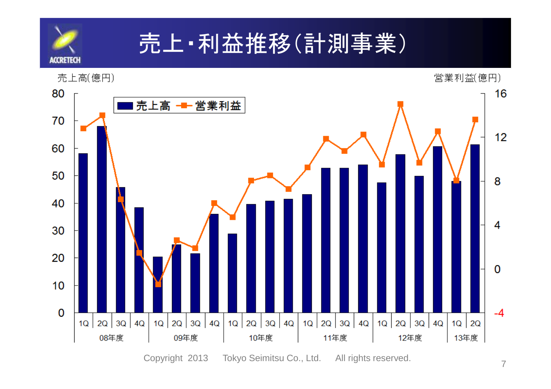



7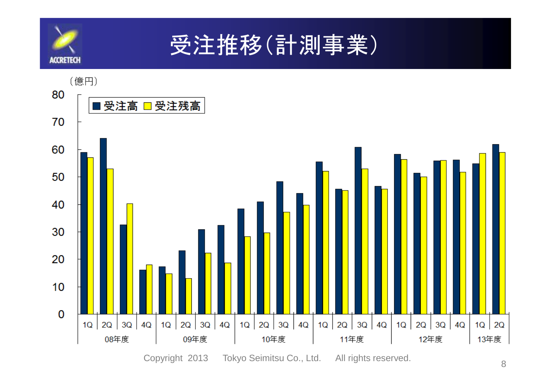

### 受注推移(計測事業)

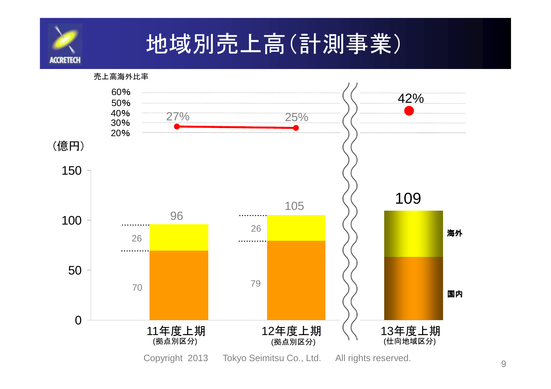

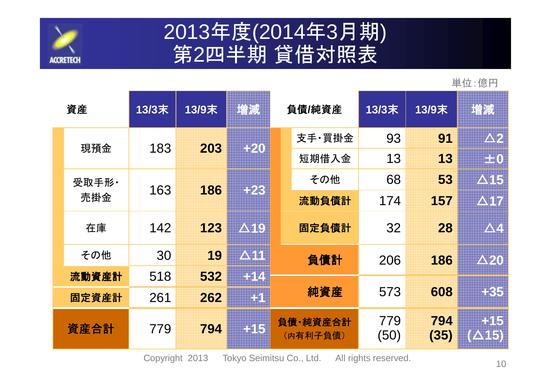

#### 2013年度(2014年3月期!013年度(2014年3月期)<br>第2四半期 貸借対照表

単位:億円

| 資産    | 13/3末 | 13/9末 | 増減             | 負債/純資産 |                      | 13/3末       | 13/9末       | 増減                     |
|-------|-------|-------|----------------|--------|----------------------|-------------|-------------|------------------------|
| 現預金   | 183   | 203   | $+20$          |        | 支手·買掛金               | 93          | 91          | $\Delta 2$             |
|       |       |       |                |        | 短期借入金                | 13          | 13          | $\blacksquare 0$       |
| 受取手形· | 163   | 186   | $+23$          |        | その他                  | 68          | 53          | $\Delta$ 15            |
| 売掛金   |       |       |                |        | 流動負債計                | 174         | 157         | $\Delta$ 17            |
| 在庫    | 142   | 123   | $\triangle$ 19 |        | 固定負債計                | 32          | 28          | $\Delta$ 4             |
| その他   | 30    | 19    | $\Delta$ 11    |        | 負債計                  | 206         | 186         | $\Delta$ 20            |
| 流動資産計 | 518   | 532   | $+14$          |        |                      |             |             |                        |
| 固定資産計 | 261   | 262   | H              |        | 純資産                  | 573         | 608         | +35                    |
| 資産合計  | 779   | 794   | 415            |        | 負債 純資産合計<br>(内有利子負債) | 779<br>(50) | 794<br>(35) | -- 15<br>$(\Delta 15)$ |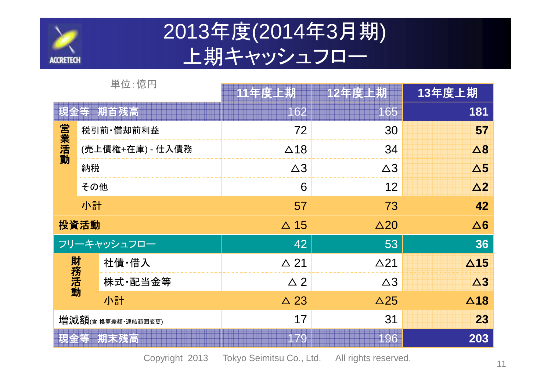

#### 2013年度(2014年3月期) 上期キャッシュフロー

|                   |           | 単位:億円            | 11年度上期         | 12年度上期         | 13年度上期      |
|-------------------|-----------|------------------|----------------|----------------|-------------|
|                   |           | 現金等 期首残高         | 162            | 165            | 181         |
|                   | 税引前·償却前利益 |                  | 72             | 30             | 57          |
| 営業活動              |           | (売上債権+在庫) - 仕入債務 | $\triangle$ 18 | 34             | $\Delta$ 8  |
|                   | 納税        |                  | $\triangle 3$  | $\Delta 3$     | $\Delta$ 5  |
|                   | その他       |                  | 6              | 12             | $\Delta$ 2  |
| 小計                |           |                  | 57             | 73             | 42          |
| 投資活動              |           |                  | $\triangle$ 15 | $\triangle$ 20 | $\Delta 6$  |
| フリーキャッシュフロー       |           |                  | 42             | 53             | 36          |
|                   |           | 社債·借入            | $\triangle$ 21 | $\Delta$ 21    | $\Delta$ 15 |
| 財務活動              |           | 株式 配当金等          | $\triangle$ 2  | $\triangle$ 3  | $\Delta$ 3  |
|                   | 小計        |                  | $\triangle$ 23 | $\Delta$ 25    | $\Delta$ 18 |
| 增減額(含換算差額·連結範囲変更) |           |                  | 17             | 31             | 23          |
|                   |           | 現金等 期末残高         | 179            | 196            | 203         |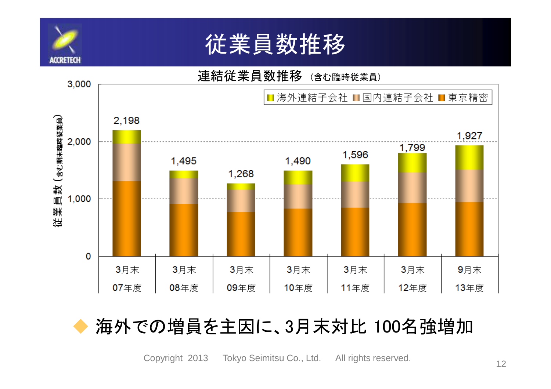





### ◆ 海外での増員を主因に、3月末対比 100名強増加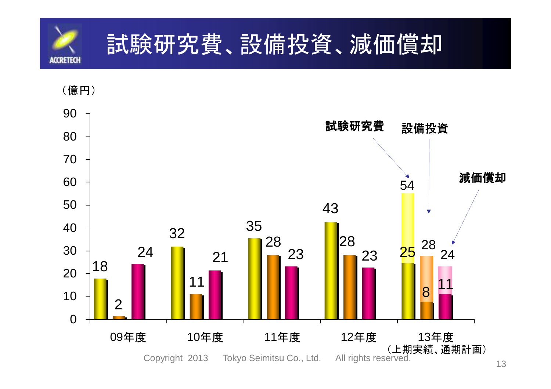

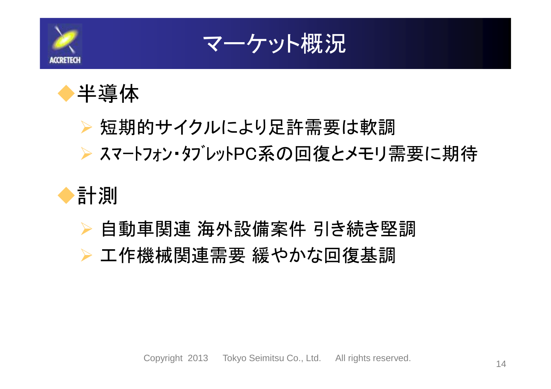





**▶短期的サイクルにより足許需要は軟調** ▶ スマートフォン・タブレットPC系の回復とメモリ需要に期待



▶ 自動車関連 海外設備案件 引き続き堅調  $\blacktriangleright$ ▶ 工作機械関連需要 緩やかな回復基調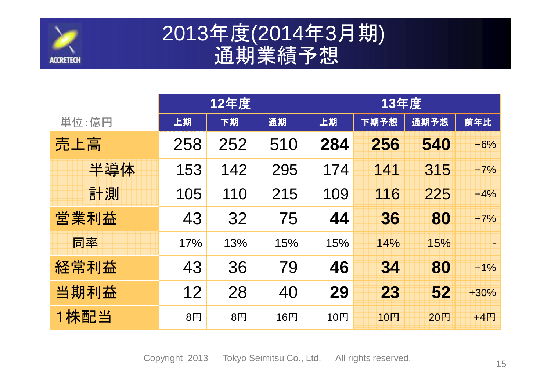

#### 2013年度(2014年3月期) 通期業績予想

|       | 12年度           |                |     | 13年度 |      |      |                     |
|-------|----------------|----------------|-----|------|------|------|---------------------|
| 単位:億円 | 上期             | 下期             | 通期  | 上期   | 下期予想 | 通期予想 | 前年比                 |
| 売上高   | 258            | 252            | 510 | 284  | 256  | 540  | $+6%$               |
| 半導体   | 153            | 142            | 295 | 174  | 141  | 315  | $+7%$               |
| 計測    | 105            | 110            | 215 | 109  | 116  | 225  | $+4%$               |
| 営業利益  | 43             | 32             | 75  | 44   | 36   | 80   | $+7%$               |
| 同率    | 17%            | 13%            | 15% | 15%  | 14%  | 15%  |                     |
| 経常利益  | 43             | 36             | 79  | 46   | 34   | 80   | $+1%$               |
| 当期利益  | 12             | 28             | 40  | 29   | 23   | 52   | $+30%$              |
| 1株配当  | 8 <sub>H</sub> | 8 <sub>H</sub> | 16円 | 10円  | 10円  | 20円  | $+4$ $\overline{F}$ |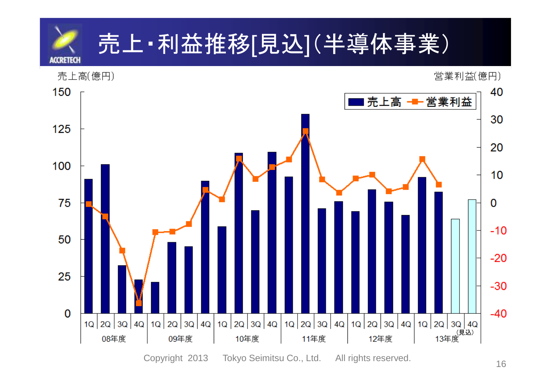

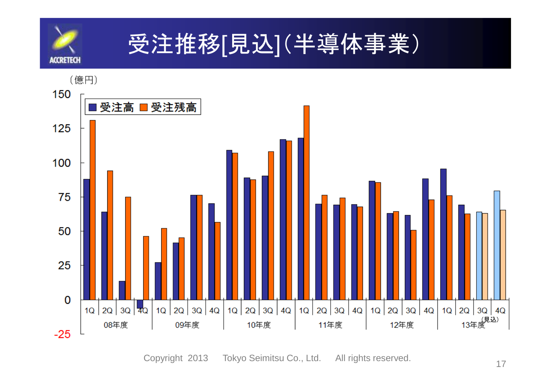

# 受注推移[見込](半導体事業)

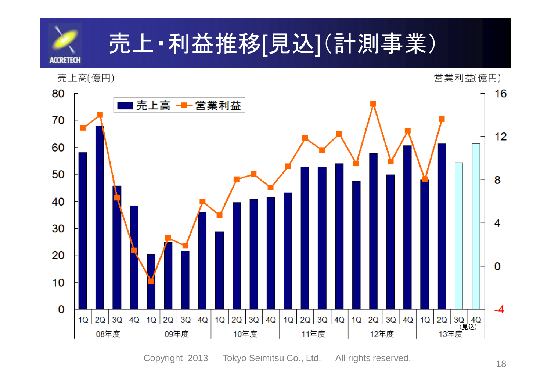

### 売上・利益推移[見込](計測事業)

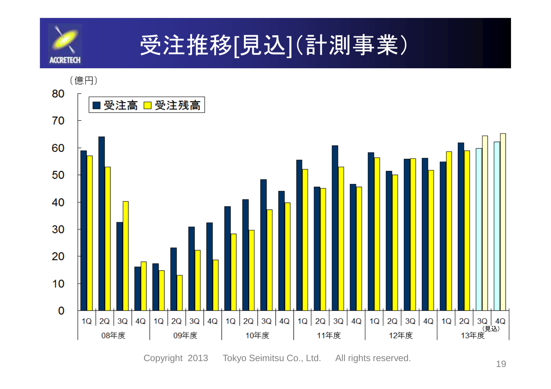

# 受注推移[見込](計測事業)

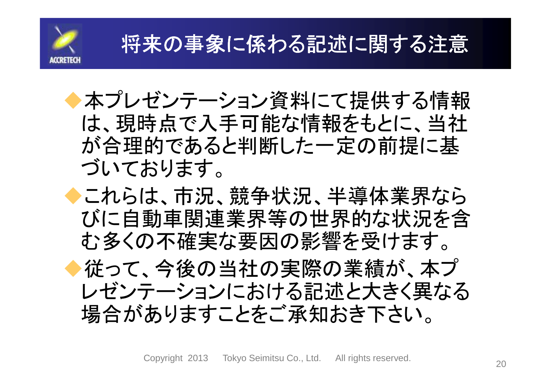

◆本プレゼンテーション資料にて提供する情報 は、現時点で入手可能な情報をもとに、当社 が合理的であると判断した一定の前提に基づいております。

◆これらは、市況、競争状況、半導体業界なら びに自動車関連業界等の世界的な状況を含む多くの不確実な要因の影響を受けます。

◆従って、今後の当社の実際の業績が、本プ レゼンテーションにおける記述と大きく異なる場合がありますことをご承知おき下さい。